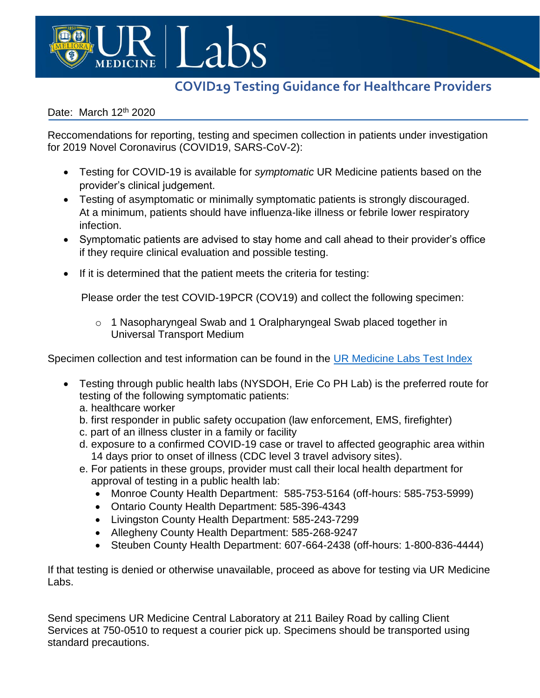

## **COVID19 Testing Guidance for Healthcare Providers**

## Date: March 12<sup>th</sup> 2020

Reccomendations for reporting, testing and specimen collection in patients under investigation for 2019 Novel Coronavirus (COVID19, SARS-CoV-2):

- Testing for COVID-19 is available for *symptomatic* UR Medicine patients based on the provider's clinical judgement.
- Testing of asymptomatic or minimally symptomatic patients is strongly discouraged. At a minimum, patients should have influenza-like illness or febrile lower respiratory infection.
- Symptomatic patients are advised to stay home and call ahead to their provider's office if they require clinical evaluation and possible testing.
- If it is determined that the patient meets the criteria for testing:

Please order the test COVID-19PCR (COV19) and collect the following specimen:

o 1 Nasopharyngeal Swab and 1 Oralpharyngeal Swab placed together in Universal Transport Medium

Specimen collection and test information can be found in the [UR Medicine Labs Test Index](https://www.testmenu.com/rochester)

- Testing through public health labs (NYSDOH, Erie Co PH Lab) is the preferred route for testing of the following symptomatic patients:
	- a. healthcare worker
	- b. first responder in public safety occupation (law enforcement, EMS, firefighter)
	- c. part of an illness cluster in a family or facility
	- d. exposure to a confirmed COVID-19 case or travel to affected geographic area within 14 days prior to onset of illness (CDC level 3 travel advisory sites).
	- e. For patients in these groups, provider must call their local health department for approval of testing in a public health lab:
		- Monroe County Health Department: 585-753-5164 (off-hours: 585-753-5999)
		- Ontario County Health Department: 585-396-4343
		- Livingston County Health Department: 585-243-7299
		- Allegheny County Health Department: 585-268-9247
		- Steuben County Health Department: 607-664-2438 (off-hours: 1-800-836-4444)

If that testing is denied or otherwise unavailable, proceed as above for testing via UR Medicine Labs.

Send specimens UR Medicine Central Laboratory at 211 Bailey Road by calling Client Services at 750-0510 to request a courier pick up. Specimens should be transported using standard precautions.